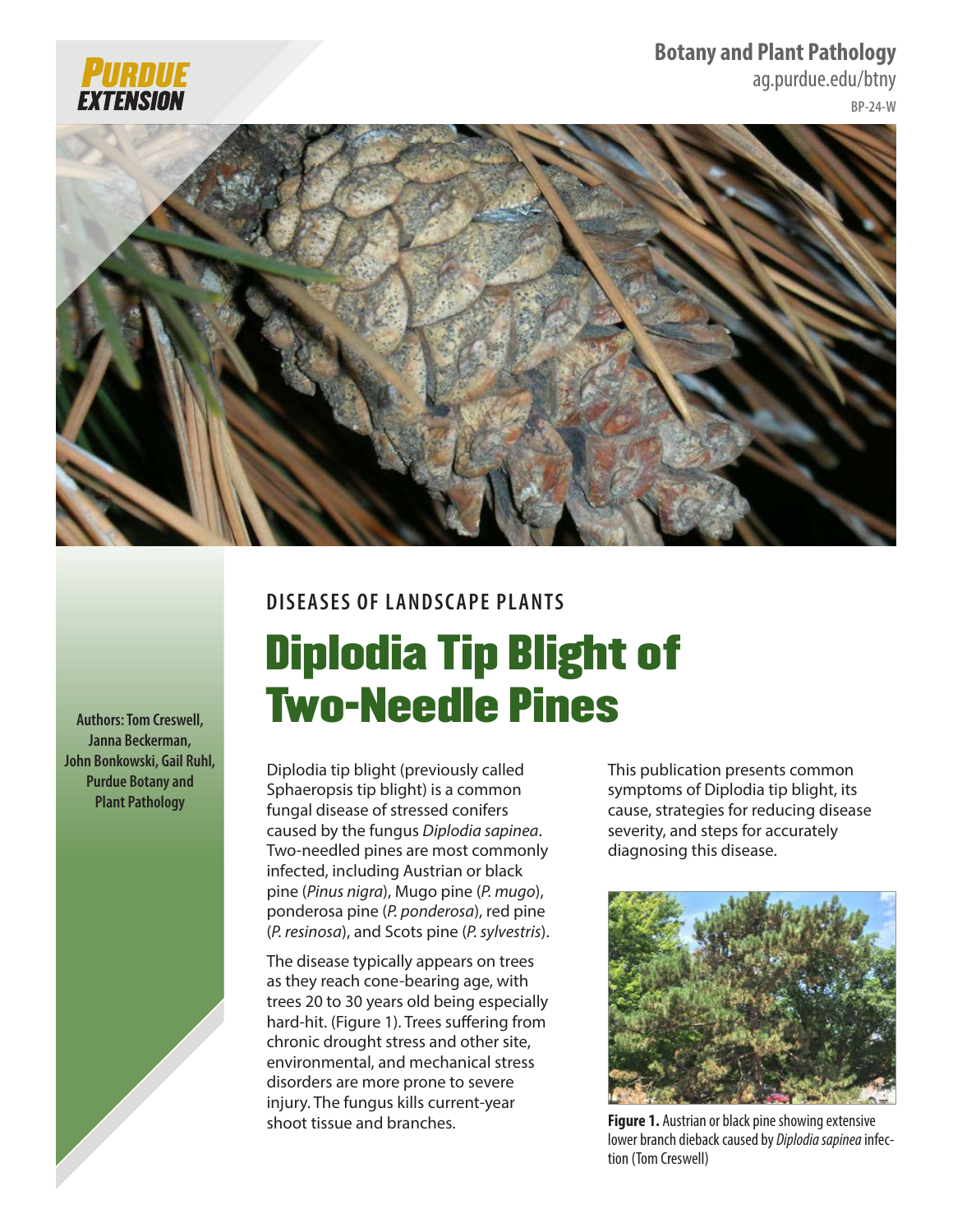## **Botany and Plant Pathology**

<ag.purdue.edu/btny>





# **DISEASES OF LANDSCAPE PLANTS**

# Diplodia Tip Blight of Two-Needle Pines

Diplodia tip blight (previously called Sphaeropsis tip blight) is a common fungal disease of stressed conifers caused by the fungus *Diplodia sapinea*. Two-needled pines are most commonly infected, including Austrian or black pine (*Pinus nigra*), Mugo pine (*P. mugo*), ponderosa pine (*P. ponderosa*), red pine (*P. resinosa*), and Scots pine (*P. sylvestris*).

The disease typically appears on trees as they reach cone-bearing age, with trees 20 to 30 years old being especially hard-hit. (Figure 1). Trees suffering from chronic drought stress and other site, environmental, and mechanical stress disorders are more prone to severe injury. The fungus kills current-year shoot tissue and branches.

This publication presents common symptoms of Diplodia tip blight, its cause, strategies for reducing disease severity, and steps for accurately diagnosing this disease.



**Figure 1.** Austrian or black pine showing extensive lower branch dieback caused by *Diplodia sapinea* infection (Tom Creswell)

**Authors: Tom Creswell, Janna Beckerman, John Bonkowski, Gail Ruhl, Purdue Botany and Plant Pathology**

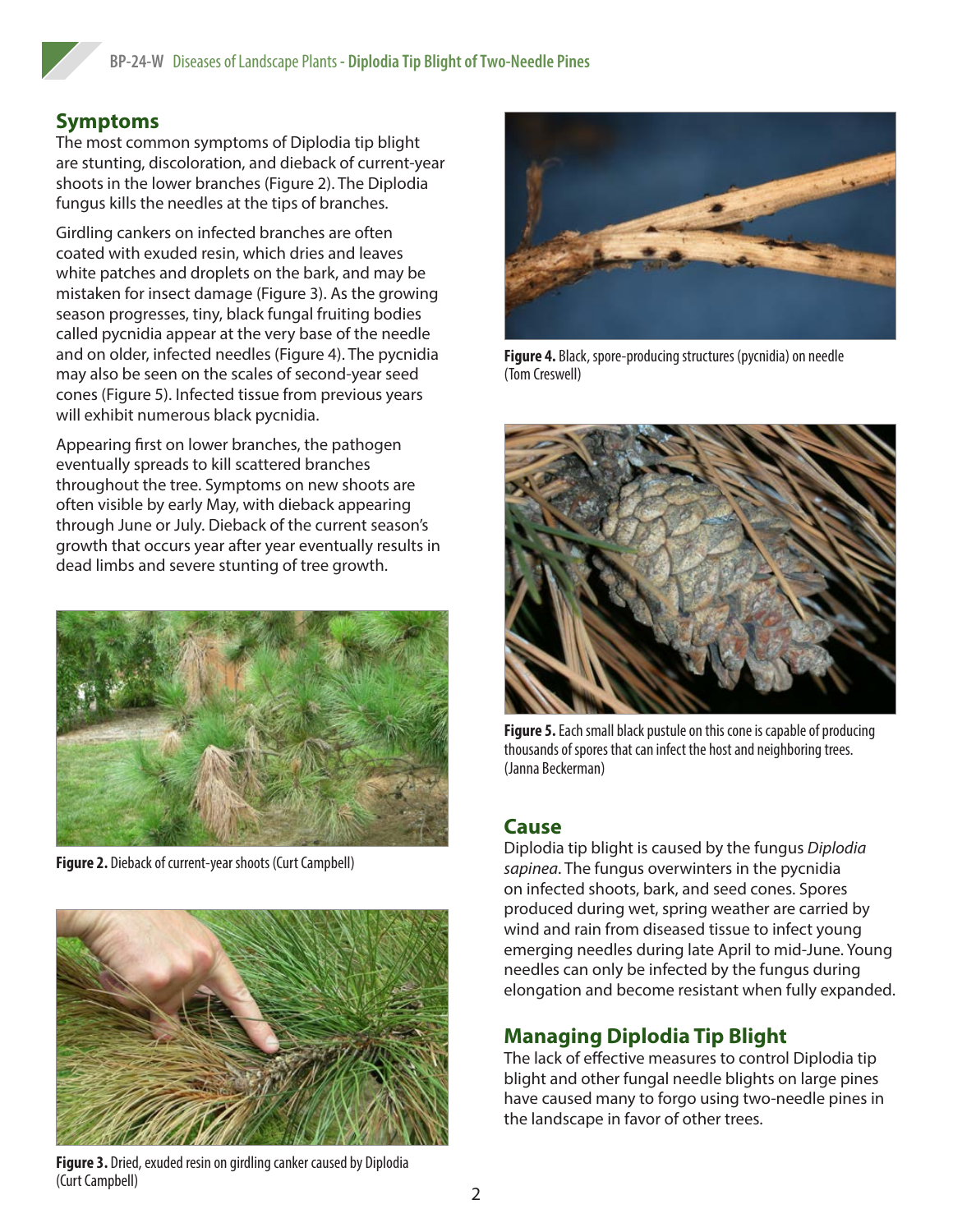# **Symptoms**

The most common symptoms of Diplodia tip blight are stunting, discoloration, and dieback of current-year shoots in the lower branches (Figure 2). The Diplodia fungus kills the needles at the tips of branches.

Girdling cankers on infected branches are often coated with exuded resin, which dries and leaves white patches and droplets on the bark, and may be mistaken for insect damage (Figure 3). As the growing season progresses, tiny, black fungal fruiting bodies called pycnidia appear at the very base of the needle and on older, infected needles (Figure 4). The pycnidia may also be seen on the scales of second-year seed cones (Figure 5). Infected tissue from previous years will exhibit numerous black pycnidia.

Appearing first on lower branches, the pathogen eventually spreads to kill scattered branches throughout the tree. Symptoms on new shoots are often visible by early May, with dieback appearing through June or July. Dieback of the current season's growth that occurs year after year eventually results in dead limbs and severe stunting of tree growth.



**Figure 2.** Dieback of current-year shoots (Curt Campbell)



**Figure 4.** Black, spore-producing structures (pycnidia) on needle (Tom Creswell)



**Figure 5.** Each small black pustule on this cone is capable of producing thousands of spores that can infect the host and neighboring trees. (Janna Beckerman)

#### **Cause**

Diplodia tip blight is caused by the fungus *Diplodia sapinea*. The fungus overwinters in the pycnidia on infected shoots, bark, and seed cones. Spores produced during wet, spring weather are carried by wind and rain from diseased tissue to infect young emerging needles during late April to mid-June. Young needles can only be infected by the fungus during elongation and become resistant when fully expanded.

### **Managing Diplodia Tip Blight**

The lack of effective measures to control Diplodia tip blight and other fungal needle blights on large pines have caused many to forgo using two-needle pines in the landscape in favor of other trees.

**Figure 3.** Dried, exuded resin on girdling canker caused by Diplodia (Curt Campbell)